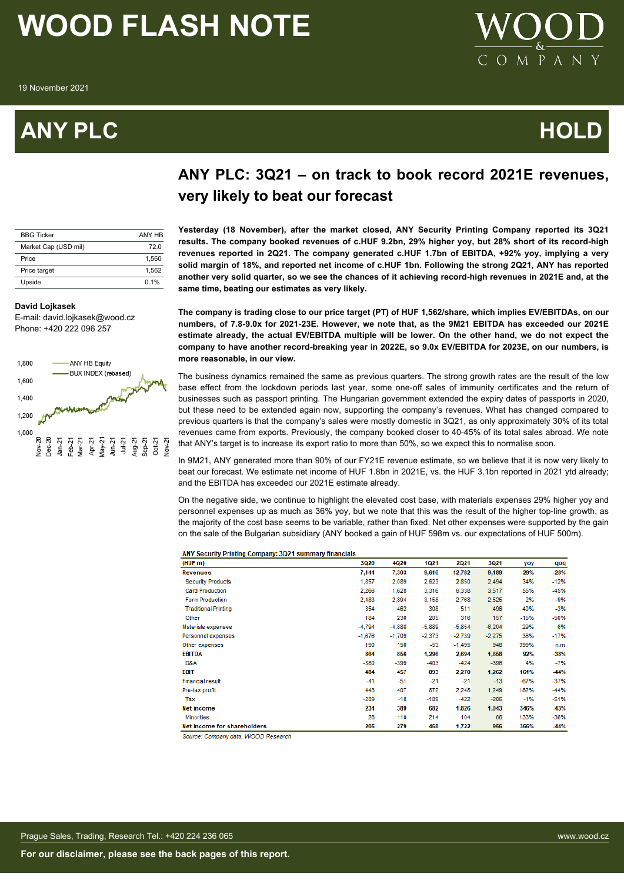19 November 2021

### **ANY PLC HOLD**



### **ANY PLC: 3Q21 – on track to book record 2021E revenues, very likely to beat our forecast**

| <b>BBG Ticker</b>    | ANY HR |
|----------------------|--------|
| Market Cap (USD mil) | 72 O   |
| Price                | 1.560  |
| Price target         | 1.562  |
| Upside               | 0.1%   |

#### **David Lojkasek**

E-mail: david.lojkasek@wood.cz Phone: +420 222 096 257



## **Yesterday (18 November), after the market closed, ANY Security Printing Company reported its 3Q21**

**results. The company booked revenues of c.HUF 9.2bn, 29% higher yoy, but 28% short of its record-high revenues reported in 2Q21. The company generated c.HUF 1.7bn of EBITDA, +92% yoy, implying a very solid margin of 18%, and reported net income of c.HUF 1bn. Following the strong 2Q21, ANY has reported another very solid quarter, so we see the chances of it achieving record-high revenues in 2021E and, at the same time, beating our estimates as very likely.**

**The company is trading close to our price target (PT) of HUF 1,562/share, which implies EV/EBITDAs, on our numbers, of 7.8-9.0x for 2021-23E. However, we note that, as the 9M21 EBITDA has exceeded our 2021E estimate already, the actual EV/EBITDA multiple will be lower. On the other hand, we do not expect the company to have another record-breaking year in 2022E, so 9.0x EV/EBITDA for 2023E, on our numbers, is more reasonable, in our view.**

The business dynamics remained the same as previous quarters. The strong growth rates are the result of the low base effect from the lockdown periods last year, some one-off sales of immunity certificates and the return of businesses such as passport printing. The Hungarian government extended the expiry dates of passports in 2020, but these need to be extended again now, supporting the company's revenues. What has changed compared to previous quarters is that the company's sales were mostly domestic in 3Q21, as only approximately 30% of its total revenues came from exports. Previously, the company booked closer to 40-45% of its total sales abroad. We note that ANY's target is to increase its export ratio to more than 50%, so we expect this to normalise soon.

In 9M21, ANY generated more than 90% of our FY21E revenue estimate, so we believe that it is now very likely to beat our forecast. We estimate net income of HUF 1.8bn in 2021E, vs. the HUF 3.1bn reported in 2021 ytd already; and the EBITDA has exceeded our 2021E estimate already.

On the negative side, we continue to highlight the elevated cost base, with materials expenses 29% higher yoy and personnel expenses up as much as 36% yoy, but we note that this was the result of the higher top-line growth, as the majority of the cost base seems to be variable, rather than fixed. Net other expenses were supported by the gain on the sale of the Bulgarian subsidiary (ANY booked a gain of HUF 598m vs. our expectations of HUF 500m).

| ANY Security Printing Company: 3Q21 summary financials |
|--------------------------------------------------------|
|--------------------------------------------------------|

| (HUF m)                     | 3Q20     | 4Q20     | 1021     | 2Q21     | 3Q21     | yoy    | qoq    |
|-----------------------------|----------|----------|----------|----------|----------|--------|--------|
| <b>Revenues</b>             | 7.144    | 7,303    | 9,610    | 12,782   | 9,189    | 29%    | $-28%$ |
| <b>Security Products</b>    | 1.857    | 2,089    | 2,623    | 2,850    | 2,494    | 34%    | $-12%$ |
| <b>Card Production</b>      | 2,266    | 1,628    | 3,316    | 6,338    | 3,517    | 55%    | $-45%$ |
| <b>Form Production</b>      | 2,483    | 2,894    | 3,158    | 2,768    | 2,525    | 2%     | $-9%$  |
| <b>Traditional Printing</b> | 354      | 462      | 308      | 511      | 496      | 40%    | $-3%$  |
| Other                       | 184      | 230      | 205      | 316      | 157      | $-15%$ | $-50%$ |
| Materials expenses          | $-4,794$ | $-4,888$ | $-5,889$ | $-5,854$ | $-6,204$ | 29%    | 6%     |
| Personnel expenses          | $-1,676$ | $-1,709$ | $-2,373$ | $-2,739$ | $-2,275$ | 36%    | $-17%$ |
| Other expenses              | 190      | 150      | -53      | $-1,495$ | 948      | 399%   | n.m.   |
| <b>EBITDA</b>               | 864      | 856      | 1,296    | 2,694    | 1,658    | 92%    | $-38%$ |
| D&A                         | $-380$   | -399     | $-403$   | $-424$   | $-396$   | 4%     | $-7%$  |
| <b>EBIT</b>                 | 484      | 457      | 893      | 2,270    | 1,262    | 161%   | $-44%$ |
| <b>Financial result</b>     | $-41$    | $-51$    | $-21$    | $-21$    | $-13$    | $-67%$ | $-37%$ |
| Pre-tax profit              | 443      | 407      | 872      | 2,248    | 1.249    | 182%   | $-44%$ |
| Tax                         | $-209$   | $-18$    | $-189$   | $-422$   | $-206$   | $-1%$  | $-51%$ |
| Net income                  | 234      | 389      | 682      | 1,826    | 1,043    | 346%   | $-43%$ |
| <b>Minorities</b>           | 28       | 110      | 214      | 104      | 66       | 133%   | $-36%$ |
| Net income for shareholders | 205      | 279      | 468      | 1,722    | 956      | 366%   | $-44%$ |

Source: Company data, WOOD Research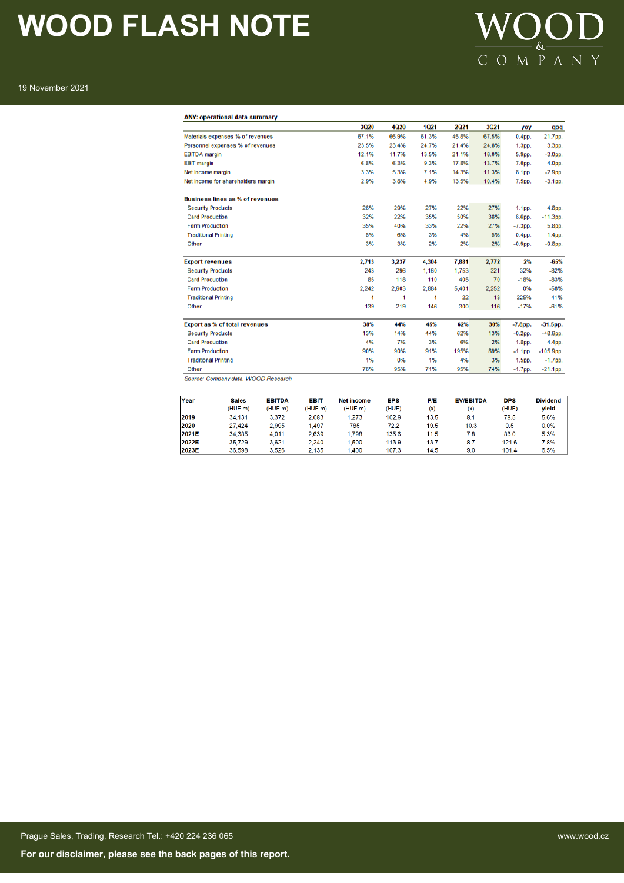

19 November 2021

|                                        | 3Q20  | 4Q20  | 1Q21  | 2021  | 3Q21  | yoy               | qoq               |
|----------------------------------------|-------|-------|-------|-------|-------|-------------------|-------------------|
| Materials expenses % of revenues       | 67.1% | 66.9% | 61.3% | 45.8% | 67.5% | 0.4 <sub>pp</sub> | 21.7pp.           |
| Personnel expenses % of revenues       | 23.5% | 23.4% | 24.7% | 21.4% | 24.8% | 1.3 <sub>pp</sub> | 3.3pp.            |
| <b>EBITDA</b> margin                   | 12.1% | 11.7% | 13.5% | 21.1% | 18.0% | 5.9pp.            | $-3.0pp$ .        |
| <b>EBIT</b> margin                     | 6.8%  | 6.3%  | 9.3%  | 17.8% | 13.7% | 7.0pp.            | $-4.0$ pp.        |
| Net Income margin                      | 3.3%  | 5.3%  | 7.1%  | 14.3% | 11.3% | 8.1pp.            | $-2.9pp$ .        |
| Net Income for shareholders margin     | 2.9%  | 3.8%  | 4.9%  | 13.5% | 10.4% | 7.5pp.            | $-3.1$ pp.        |
| <b>Business lines as % of revenues</b> |       |       |       |       |       |                   |                   |
| <b>Security Products</b>               | 26%   | 29%   | 27%   | 22%   | 27%   | 1.1 <sub>pp</sub> | 4.8pp.            |
| <b>Card Production</b>                 | 32%   | 22%   | 35%   | 50%   | 38%   | 6.6pp.            | $-11.3$ pp.       |
| <b>Form Production</b>                 | 35%   | 40%   | 33%   | 22%   | 27%   | $-7.3pp$ .        | 5.8pp.            |
| <b>Traditional Printing</b>            | 5%    | 6%    | 3%    | 4%    | 5%    | $0.4pp$ .         | 1.4 <sub>pp</sub> |
| Other                                  | 3%    | 3%    | 2%    | 2%    | 2%    | $-0.9$ pp.        | $-0.8$ pp.        |
| <b>Export revenues</b>                 | 2,713 | 3,237 | 4,304 | 7,881 | 2,772 | 2%                | $-65%$            |
| <b>Security Products</b>               | 243   | 296   | 1,160 | 1,753 | 321   | 32%               | $-82%$            |
| <b>Card Production</b>                 | 85    | 118   | 110   | 405   | 70    | $-18%$            | $-83%$            |
| <b>Form Production</b>                 | 2,242 | 2,603 | 2,884 | 5,401 | 2,252 | 0%                | $-58%$            |
| <b>Traditional Printing</b>            | 4     | 1     | 4     | 22    | 13    | 225%              | $-41%$            |
| Other                                  | 139   | 219   | 146   | 300   | 116   | $-17%$            | $-61%$            |
| <b>Export as % of total revenues</b>   | 38%   | 44%   | 45%   | 62%   | 30%   | $-7.8$ pp.        | $-31.5$ pp.       |
| <b>Security Products</b>               | 13%   | 14%   | 44%   | 62%   | 13%   | $-0.2$ pp.        | $-48.6$ pp.       |
| <b>Card Production</b>                 | 4%    | 7%    | 3%    | 6%    | 2%    | $-1.8$ pp.        | $-4.4$ pp.        |
| <b>Form Production</b>                 | 90%   | 90%   | 91%   | 195%  | 89%   | $-1.1$ pp.        | $-105.9$ pp.      |
| <b>Traditional Printing</b>            | 1%    | 0%    | 1%    | 4%    | 3%    | $1.5pp$ .         | $-1.7$ pp.        |
| Other                                  | 76%   | 95%   | 71%   | 95%   | 74%   | $-1.7$ pp.        | $-21.1$ pp.       |

| Year  | <b>Sales</b> | <b>EBITDA</b>       | <b>EBIT</b>         | <b>Net income</b>   | <b>EPS</b> | <b>P/E</b> | <b>EV/EBITDA</b> | <b>DPS</b> | <b>Dividend</b> |
|-------|--------------|---------------------|---------------------|---------------------|------------|------------|------------------|------------|-----------------|
|       | (HUF m)      | (HUF <sub>m</sub> ) | (HUF <sub>m</sub> ) | (HUF <sub>m</sub> ) | (HUF)      | (x)        | (x)              | (HUF)      | vield           |
| 2019  | 34.131       | 3.372               | 2.083               | 1.273               | 102.9      | 13.5       | 8.1              | 78.5       | 5.6%            |
| 2020  | 27.424       | 2.995               | 1.497               | 785                 | 72.2       | 19.5       | 10.3             | 0.5        | 0.0%            |
| 2021E | 34.385       | 4.011               | 2.639               | 1.798               | 135.6      | 11.5       | 7.8              | 83.0       | 5.3%            |
| 2022E | 35.729       | 3.621               | 2.240               | .500                | 113.9      | 13.7       | 8.7              | 121.6      | 7.8%            |
| 2023E | 36.598       | 3.526               | 2.135               | 1.400               | 107.3      | 14.5       | 9.0              | 101.4      | 6.5%            |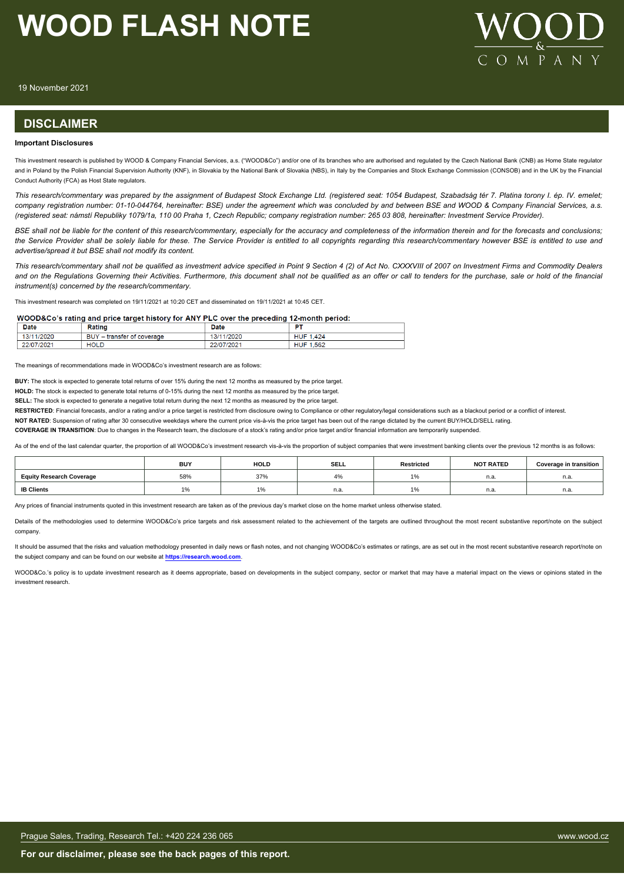

19 November 2021

#### **DISCLAIMER**

#### **Important Disclosures**

This investment research is published by WOOD & Company Financial Services, a.s. ("WOOD&Co") and/or one of its branches who are authorised and regulated by the Czech National Bank (CNB) as Home State regulator and in Poland by the Polish Financial Supervision Authority (KNF), in Slovakia by the National Bank of Slovakia (NBS), in Italy by the Companies and Stock Exchange Commission (CONSOB) and in the UK by the Financial Conduct Authority (FCA) as Host State regulators.

*This research/commentary was prepared by the assignment of Budapest Stock Exchange Ltd. (registered seat: 1054 Budapest, Szabadság tér 7. Platina torony I. ép. IV. emelet; company registration number: 01-10-044764, hereinafter: BSE) under the agreement which was concluded by and between BSE and WOOD & Company Financial Services, a.s. (registered seat: námstí Republiky 1079/1a, 110 00 Praha 1, Czech Republic; company registration number: 265 03 808, hereinafter: Investment Service Provider).*

*BSE shall not be liable for the content of this research/commentary, especially for the accuracy and completeness of the information therein and for the forecasts and conclusions; the Service Provider shall be solely liable for these. The Service Provider is entitled to all copyrights regarding this research/commentary however BSE is entitled to use and advertise/spread it but BSE shall not modify its content.*

*This research/commentary shall not be qualified as investment advice specified in Point 9 Section 4 (2) of Act No. CXXXVIII of 2007 on Investment Firms and Commodity Dealers and on the Regulations Governing their Activities. Furthermore, this document shall not be qualified as an offer or call to tenders for the purchase, sale or hold of the financial instrument(s) concerned by the research/commentary.*

This investment research was completed on 19/11/2021 at 10:20 CET and disseminated on 19/11/2021 at 10:45 CET.

#### WOOD&Co's rating and price target history for ANY PLC over the preceding 12-month period:

| <b>Date</b> | Rating                                                | <b>Date</b> | <b>COLO</b>         |
|-------------|-------------------------------------------------------|-------------|---------------------|
| 13/11/2020  | <b>DIW</b><br>' – transfer of coverage<br><b>DU</b> T | 13/11/2020  | 1.424<br>HUF        |
| 22/07/2021  | <b>HOLD</b>                                           | 22/07/2021  | 1.562<br><b>HUF</b> |

The meanings of recommendations made in WOOD&Co's investment research are as follows:

**BUY:** The stock is expected to generate total returns of over 15% during the next 12 months as measured by the price target.

**HOLD:** The stock is expected to generate total returns of 0-15% during the next 12 months as measured by the price target.

**SELL:** The stock is expected to generate a negative total return during the next 12 months as measured by the price target.

**RESTRICTED:** Financial forecasts, and/or a rating and/or a price target is restricted from disclosure owing to Compliance or other regulatory/legal considerations such as a blackout period or a conflict of interest.

**NOT RATED**: Suspension of rating after 30 consecutive weekdays where the current price vis-à-vis the price target has been out of the range dictated by the current BUY/HOLD/SELL rating.

**COVERAGE IN TRANSITION**: Due to changes in the Research team, the disclosure of a stock's rating and/or price target and/or financial information are temporarily suspended.

As of the end of the last calendar quarter, the proportion of all WOOD&Co's investment research vis-à-vis the proportion of subject companies that were investment banking clients over the previous 12 months is as follows:

|                                 | <b>BUY</b> | <b>HOLD</b>            | <b>SELL</b>        | Restricted | <b>NOT RATED</b> | <b>Coverage in transition</b> |
|---------------------------------|------------|------------------------|--------------------|------------|------------------|-------------------------------|
| <b>Equity Research Coverage</b> | 58%        | 37%                    | $\Delta$ 0<br>+ Yo |            | n.a.             | . .<br>11.d.                  |
| <b>IB Clients</b>               | l 7o       | $\overline{a}$<br>l 70 | n.a.               |            | n.a.             | . .<br>n.a.                   |

Any prices of financial instruments quoted in this investment research are taken as of the previous day's market close on the home market unless otherwise stated.

Details of the methodologies used to determine WOOD&Co's price targets and risk assessment related to the achievement of the targets are outlined throughout the most recent substantive report/note on the subject company.

It should be assumed that the risks and valuation methodology presented in daily news or flash notes, and not changing WOOD&Co's estimates or ratings, are as set out in the most recent substantive research report/note on the subject company and can be found on our website at **[https://research.wood.com](https://research.wood.com/)**.

WOOD&Co.'s policy is to update investment research as it deems appropriate, based on developments in the subject company, sector or market that may have a material impact on the views or opinions stated in the investment research.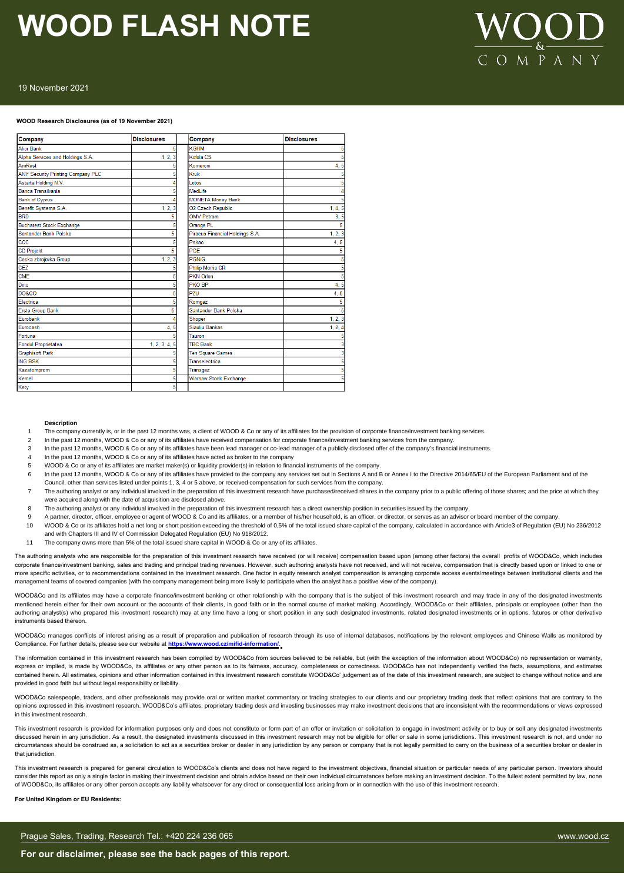# OMPAN

#### 19 November 2021

#### **WOOD Research Disclosures (as of 19 November 2021)**

| Company                           | <b>Disclosures</b> | Company                         | <b>Disclosures</b> |
|-----------------------------------|--------------------|---------------------------------|--------------------|
| <b>Alior Bank</b>                 | 5                  | <b>KGHM</b>                     |                    |
| Alpha Services and Holdings S.A.  | 1, 2, 3            | Kofola CS                       |                    |
| AmRest                            |                    | Komercni                        | 4.5                |
| ANY Security Printing Company PLC |                    | <b>Kruk</b>                     |                    |
| Astarta Holding N.V.              |                    | Lotos                           |                    |
| Banca Transilvania                |                    | MedLife                         |                    |
| <b>Bank of Cyprus</b>             |                    | <b>MONETA Money Bank</b>        |                    |
| Benefit Systems S.A.              | 1, 2, 3            | <b>O2 Czech Republic</b>        | 1, 4, 5            |
| <b>BRD</b>                        | 5                  | <b>OMV Petrom</b>               | 3, 5               |
| <b>Bucharest Stock Exchange</b>   | 5                  | Orange PL                       | 5                  |
| Santander Bank Polska             | 5                  | Piraeus Financial Holdings S.A. | 1, 2, 3            |
| CCC                               |                    | Pekao                           | 4.5                |
| <b>CD Projekt</b>                 | 5                  | PGF                             | 5                  |
| Ceska zbrojovka Group             | 1, 2, 3            | <b>PGNiG</b>                    |                    |
| <b>CEZ</b>                        | 5                  | <b>Philip Morris CR</b>         |                    |
| <b>CME</b>                        |                    | <b>PKN Orlen</b>                |                    |
| Dino                              | 5                  | PKO BP                          | 4.5                |
| <b>DO&amp;CO</b>                  |                    | PZU                             | 4.5                |
| Electrica                         | д                  | Romgaz                          | 5                  |
| <b>Erste Group Bank</b>           | 5                  | Santander Bank Polska           |                    |
| Eurobank                          |                    | Shoper                          | 1, 2, 3            |
| Eurocash                          | 4, 5               | Siauliu Bankas                  | 1, 2, 4            |
| Fortuna                           |                    | Tauron                          |                    |
| <b>Fondul Proprietatea</b>        | 1, 2, 3, 4, 5      | <b>TBC Bank</b>                 |                    |
| <b>Graphisoft Park</b>            |                    | <b>Ten Square Games</b>         |                    |
| <b>ING BSK</b>                    |                    | Transelectrica                  |                    |
| Kazatomprom                       | 5                  | Transgaz                        |                    |
| Kernel                            | 5                  | <b>Warsaw Stock Exchange</b>    |                    |
| Kety                              | 5                  |                                 |                    |

#### **Description**

- 1 The company currently is, or in the past 12 months was, a client of WOOD & Co or any of its affiliates for the provision of corporate finance/investment banking services.
- 2 In the past 12 months, WOOD & Co or any of its affiliates have received compensation for corporate finance/investment banking services from the company
- 3 In the past 12 months, WOOD & Co or any of its affiliates have been lead manager or co-lead manager of a publicly disclosed offer of the company's financial instruments.
- 4 In the past 12 months, WOOD & Co or any of its affiliates have acted as broker to the company
- 5 WOOD & Co or any of its affiliates are market maker(s) or liquidity provider(s) in relation to financial instruments of the company.
- 6 In the past 12 months, WOOD & Co or any of its affiliates have provided to the company any services set out in Sections A and B or Annex I to the Directive 2014/65/EU of the European Parliament and of the Council, other than services listed under points 1, 3, 4 or 5 above, or received compensation for such services from the company.
- The authoring analyst or any individual involved in the preparation of this investment research have purchased/received shares in the company prior to a public offering of those shares; and the price at which they were acquired along with the date of acquisition are disclosed above.
- 8 The authoring analyst or any individual involved in the preparation of this investment research has a direct ownership position in securities issued by the company.
- 9 A partner, director, officer, employee or agent of WOOD & Co and its affiliates, or a member of his/her household, is an officer, or director, or serves as an advisor or board member of the company
- 10 WOOD & Co or its affiliates hold a net long or short position exceeding the threshold of 0,5% of the total issued share capital of the company, calculated in accordance with Article3 of Regulation (EU) No 236/2012 and with Chapters III and IV of Commission Delegated Regulation (EU) No 918/2012.
- 11 The company owns more than 5% of the total issued share capital in WOOD & Co or any of its affiliates.

The authoring analysts who are responsible for the preparation of this investment research have received (or will receive) compensation based upon (among other factors) the overall profits of WOOD&Co, which includes corporate finance/investment banking, sales and trading and principal trading revenues. However, such authoring analysts have not received, and will not receive, compensation that is directly based upon or linked to one or more specific activities, or to recommendations contained in the investment research. One factor in equity research analyst compensation is arranging corporate access events/meetings between institutional clients and the management teams of covered companies (with the company management being more likely to participate when the analyst has a positive view of the company).

WOOD&Co and its affiliates may have a corporate finance/investment banking or other relationship with the company that is the subject of this investment research and may trade in any of the designated investments mentioned herein either for their own account or the accounts of their clients, in good faith or in the normal course of market making. Accordingly, WOOD&Co or their affiliates, principals or employees (other than the authoring analyst(s) who prepared this investment research) may at any time have a long or short position in any such designated investments, related designated investments or in options, futures or other derivative instruments based thereon.

WOOD&Co manages conflicts of interest arising as a result of preparation and publication of research through its use of internal databases, notifications by the relevant employees and Chinese Walls as monitored by Compliance. For further details, please see our website at **https://www.wood.cz/mifid-information/**.

The information contained in this investment research has been compiled by WOOD&Co from sources believed to be reliable, but (with the exception of the information about WOOD&Co) no representation or warranty, express or implied, is made by WOOD&Co, its affiliates or any other person as to its fairness, accuracy, completeness or correctness. WOOD&Co has not independently verified the facts, assumptions, and estimates contained herein. All estimates, opinions and other information contained in this investment research constitute WOOD&Co' judgement as of the date of this investment research, are subject to change without notice and are provided in good faith but without legal responsibility or liability.

WOOD&Co salespeople, traders, and other professionals may provide oral or written market commentary or trading strategies to our clients and our proprietary trading desk that reflect opinions that are contrary to the opinions expressed in this investment research. WOOD&Co's affiliates, proprietary trading desk and investing businesses may make investment decisions that are inconsistent with the recommendations or views expressed in this investment research.

This investment research is provided for information purposes only and does not constitute or form part of an offer or invitation or solicitation to engage in investment activity or to buy or sell any designated investment discussed herein in any iurisdiction. As a result, the designated investment siscussed in this investment research may not be eligible for offer or sale in some jurisdictions. This investment research is not, and under no circumstances should be construed as, a solicitation to act as a securities broker or dealer in any jurisdiction by any person or company that is not legally permitted to carry on the business of a securities broker or dea that jurisdiction

This investment research is prepared for general circulation to WOOD&Co's clients and does not have regard to the investment objectives, financial situation or particular needs of any particular person. Investors should consider this report as only a single factor in making their investment decision and obtain advice based on their own individual circumstances before making an investment decision. To the fullest extent permitted by law, n of WOOD&Co, its affiliates or any other person accepts any liability whatsoever for any direct or consequential loss arising from or in connection with the use of this investment research.

#### **For United Kingdom or EU Residents:**

Prague Sales, Trading, Research Tel.: +420 224 236 065 www.wood.cz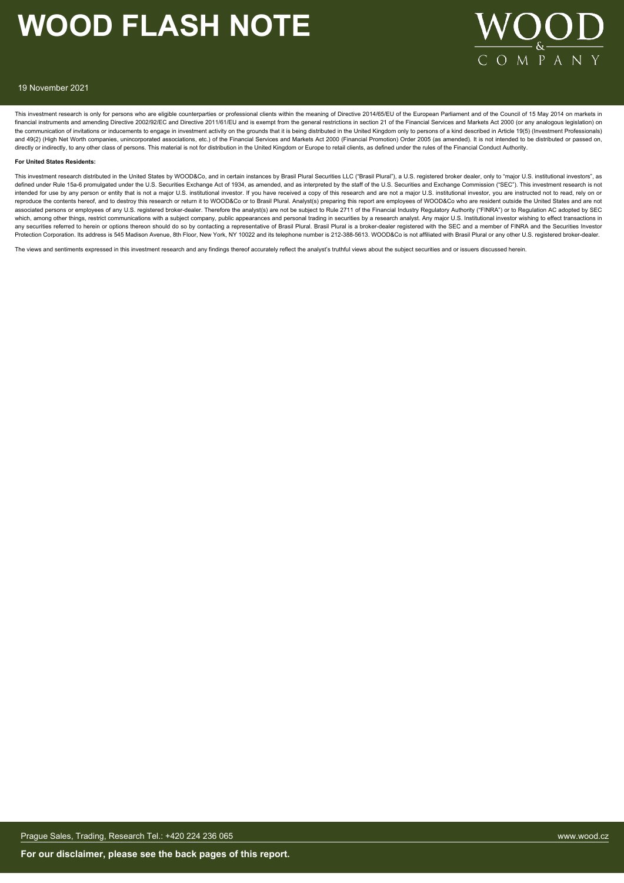

#### 19 November 2021

This investment research is only for persons who are eligible counterparties or professional clients within the meaning of Directive 2014/65/EU of the European Parliament and of the Council of 15 May 2014 on markets in financial instruments and amending Directive 2002/92/EC and Directive 2011/61/EU and is exempt from the general restrictions in section 21 of the Financial Services and Markets Act 2000 (or any analogous legislation) on the communication of invitations or inducements to engage in investment activity on the grounds that it is being distributed in the United Kingdom only to persons of a kind described in Article 19(5) (Investment Profession and 49(2) (High Net Worth companies, unincorporated associations, etc.) of the Financial Services and Markets Act 2000 (Financial Promotion) Order 2005 (as amended). It is not intended to be distributed or passed on, directly or indirectly, to any other class of persons. This material is not for distribution in the United Kingdom or Europe to retail clients, as defined under the rules of the Financial Conduct Authority.

#### **For United States Residents:**

This investment research distributed in the United States by WOOD&Co, and in certain instances by Brasil Plural Securities LLC ("Brasil Plural"), a U.S. registered broker dealer, only to "major U.S. institutional investors defined under Rule 15a-6 promulgated under the U.S. Securities Exchange Act of 1934, as amended, and as interpreted by the staff of the U.S. Securities and Exchange Commission ("SEC"). This investment research is not intended for use by any person or entity that is not a major U.S. institutional investor. If you have received a copy of this research and are not a major U.S. institutional investor, you are instructed not to read, rely o reproduce the contents hereof, and to destroy this research or return it to WOOD&Co or to Brasil Plural. Analyst(s) preparing this report are employees of WOOD&Co who are resident outside the United States and are not associated persons or employees of any U.S. registered broker-dealer. Therefore the analyst(s) are not be subject to Rule 2711 of the Financial Industry Regulatory Authority ("FINRA") or to Regulation AC adopted by SEC which, among other things, restrict communications with a subject company, public appearances and personal trading in securities by a research analyst. Any major U.S. Institutional investor wishing to effect transactions i any securities referred to herein or options thereon should do so by contacting a representative of Brasil Plural. Brasil Plural is a broker-dealer registered with the SEC and a member of FINRA and the Securities Investor Protection Corporation. Its address is 545 Madison Avenue, 8th Floor, New York, NY 10022 and its telephone number is 212-388-5613. WOOD&Co is not affiliated with Brasil Plural or any other U.S. registered broker-dealer.

The views and sentiments expressed in this investment research and any findings thereof accurately reflect the analyst's truthful views about the subject securities and or issuers discussed herein.